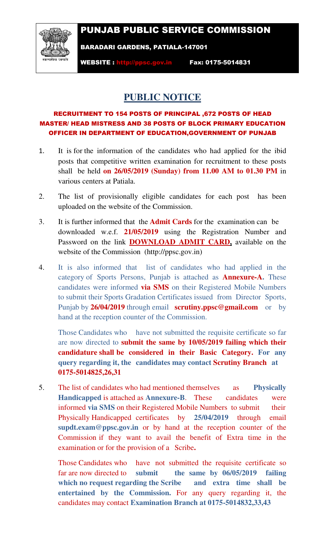## PUNJAB PUBLIC SERVICE COMMISSION



BARADARI GARDENS, PATIALA-147001

WEBSITE : http://ppsc.gov.in Fax: 0175-5014831

## **PUBLIC NOTICE**

## RECRUITMENT TO 154 POSTS OF PRINCIPAL ,672 POSTS OF HEAD MASTER/ HEAD MISTRESS AND 38 POSTS OF BLOCK PRIMARY EDUCATION OFFICER IN DEPARTMENT OF EDUCATION,GOVERNMENT OF PUNJAB

- 1. It is for the information of the candidates who had applied for the ibid posts that competitive written examination for recruitment to these posts shall be held **on 26/05/2019 (Sunday) from 11.00 AM to 01.30 PM** in various centers at Patiala.
- 2. The list of provisionally eligible candidates for each post has been uploaded on the website of the Commission.
- 3. It is further informed that the **Admit Cards** for the examination can be downloaded w.e.f. **21/05/2019** using the Registration Number and Password on the link **DOWNLOAD ADMIT CARD,** available on the website of the Commission (http://ppsc.gov.in)
- 4. It is also informed that list of candidates who had applied in the category of Sports Persons, Punjab is attached as **Annexure-A.** These candidates were informed **via SMS** on their Registered Mobile Numbers to submit their Sports Gradation Certificates issued from Director Sports, Punjab by **26/04/2019** through email **scrutiny.ppsc@gmail.com** or by hand at the reception counter of the Commission.

Those Candidates who have not submitted the requisite certificate so far are now directed to **submit the same by 10/05/2019 failing which their candidature shall be considered in their Basic Category. For any query regarding it, the candidates may contact Scrutiny Branch at 0175-5014825,26,31**

5. The list of candidates who had mentioned themselves as **Physically Handicapped** is attached as **Annexure-B**. These candidates were informed **via SMS** on their Registered Mobile Numbers to submit their Physically Handicapped certificates by **25/04/2019** through email **supdt.exam@ppsc.gov.in** or by hand at the reception counter of the Commission if they want to avail the benefit of Extra time in the examination or for the provision of a Scribe.

 Those Candidates who have not submitted the requisite certificate so far are now directed to **submit the same by 06/05/2019 failing which no request regarding the Scribe and extra time shall be entertained by the Commission.** For any query regarding it, the candidates may contact **Examination Branch at 0175-5014832,33,43**